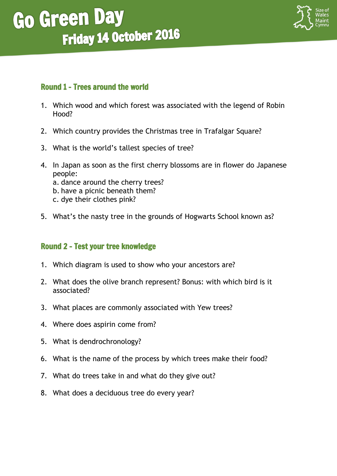

### Round 1 - Trees around the world

- 1. Which wood and which forest was associated with the legend of Robin Hood?
- 2. Which country provides the Christmas tree in Trafalgar Square?
- 3. What is the world's tallest species of tree?
- 4. In Japan as soon as the first cherry blossoms are in flower do Japanese people: a. dance around the cherry trees? b. have a picnic beneath them? c. dye their clothes pink?
- 5. What's the nasty tree in the grounds of Hogwarts School known as?

### Round 2 – Test your tree knowledge

- 1. Which diagram is used to show who your ancestors are?
- 2. What does the olive branch represent? Bonus: with which bird is it associated?
- 3. What places are commonly associated with Yew trees?
- 4. Where does aspirin come from?
- 5. What is dendrochronology?
- 6. What is the name of the process by which trees make their food?
- 7. What do trees take in and what do they give out?
- 8. What does a deciduous tree do every year?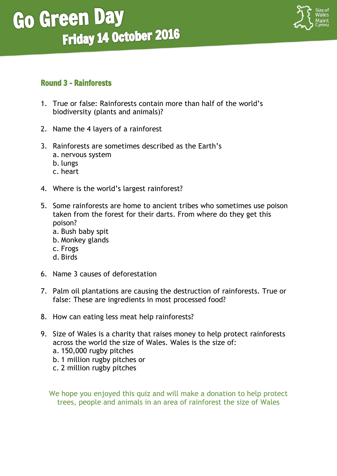### Round 3 – Rainforests

- 1. True or false: Rainforests contain more than half of the world's biodiversity (plants and animals)?
- 2. Name the 4 layers of a rainforest
- 3. Rainforests are sometimes described as the Earth's a. nervous system b. lungs
	- c. heart
- 4. Where is the world's largest rainforest?
- 5. Some rainforests are home to ancient tribes who sometimes use poison taken from the forest for their darts. From where do they get this poison?
	- a. Bush baby spit
	- b. Monkey glands
	- c. Frogs
	- d. Birds
- 6. Name 3 causes of deforestation
- 7. Palm oil plantations are causing the destruction of rainforests. True or false: These are ingredients in most processed food?
- 8. How can eating less meat help rainforests?
- 9. Size of Wales is a charity that raises money to help protect rainforests across the world the size of Wales. Wales is the size of:
	- a. 150,000 rugby pitches
	- b. 1 million rugby pitches or
	- c. 2 million rugby pitches

We hope you enjoyed this quiz and will make a donation to help protect trees, people and animals in an area of rainforest the size of Wales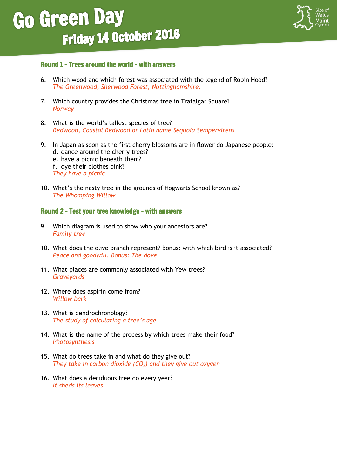í



#### Round 1 - Trees around the world – with answers

- 6. Which wood and which forest was associated with the legend of Robin Hood? *The Greenwood, Sherwood Forest, Nottinghamshire.*
- 7. Which country provides the Christmas tree in Trafalgar Square? *Norway*
- 8. What is the world's tallest species of tree? *Redwood, Coastal Redwood or Latin name Sequoia Sempervirens*
- 9. In Japan as soon as the first cherry blossoms are in flower do Japanese people: d. dance around the cherry trees? e. have a picnic beneath them? f. dye their clothes pink? *They have a picnic*
- 10. What's the nasty tree in the grounds of Hogwarts School known as? *The Whomping Willow*

#### Round 2 – Test your tree knowledge - with answers

- 9. Which diagram is used to show who your ancestors are? *Family tree*
- 10. What does the olive branch represent? Bonus: with which bird is it associated? *Peace and goodwill. Bonus: The dove*
- 11. What places are commonly associated with Yew trees? *Graveyards*
- 12. Where does aspirin come from? *Willow bark*
- 13. What is dendrochronology? *The study of calculating a tree's age*
- 14. What is the name of the process by which trees make their food? *Photosynthesis*
- 15. What do trees take in and what do they give out? *They take in carbon dioxide (CO2) and they give out oxygen*
- 16. What does a deciduous tree do every year? *It sheds its leaves*